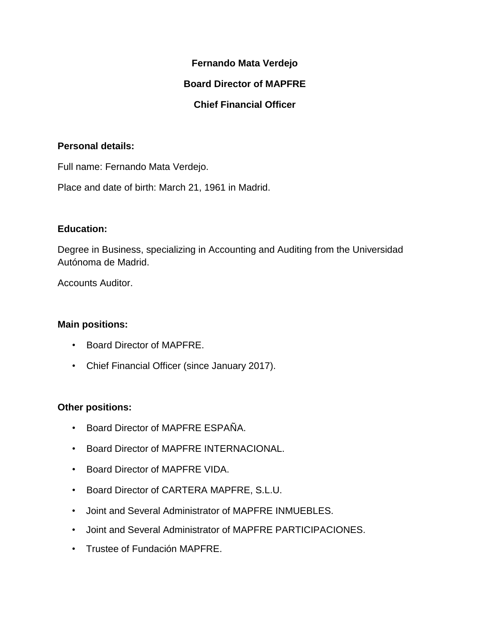## **Fernando Mata Verdejo**

## **Board Director of MAPFRE**

# **Chief Financial Officer**

## **Personal details:**

Full name: Fernando Mata Verdejo.

Place and date of birth: March 21, 1961 in Madrid.

### **Education:**

Degree in Business, specializing in Accounting and Auditing from the Universidad Autónoma de Madrid.

Accounts Auditor.

#### **Main positions:**

- Board Director of MAPFRE.
- Chief Financial Officer (since January 2017).

## **Other positions:**

- Board Director of MAPFRE ESPAÑA.
- Board Director of MAPFRE INTERNACIONAL.
- Board Director of MAPFRE VIDA.
- Board Director of CARTERA MAPFRE, S.L.U.
- Joint and Several Administrator of MAPFRE INMUEBLES.
- Joint and Several Administrator of MAPFRE PARTICIPACIONES.
- Trustee of Fundación MAPFRE.